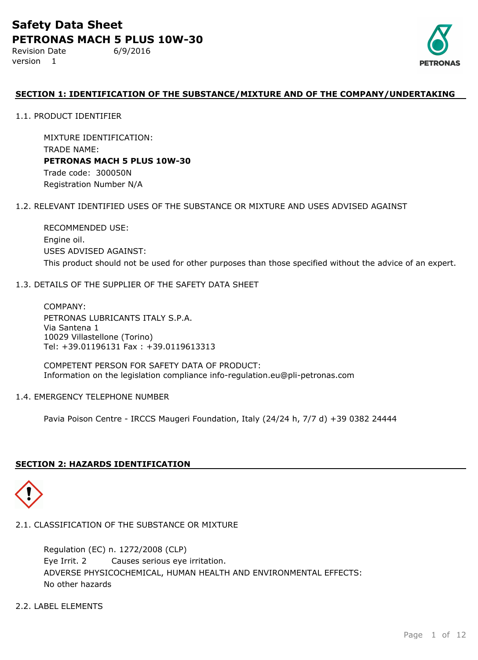Revision Date 6/9/2016 version 1



## **SECTION 1: IDENTIFICATION OF THE SUBSTANCE/MIXTURE AND OF THE COMPANY/UNDERTAKING**

1.1. PRODUCT IDENTIFIER

MIXTURE IDENTIFICATION: TRADE NAME: **PETRONAS MACH 5 PLUS 10W-30** Trade code: 300050N Registration Number N/A

#### 1.2. RELEVANT IDENTIFIED USES OF THE SUBSTANCE OR MIXTURE AND USES ADVISED AGAINST

RECOMMENDED USE: Engine oil. USES ADVISED AGAINST: This product should not be used for other purposes than those specified without the advice of an expert.

#### 1.3. DETAILS OF THE SUPPLIER OF THE SAFETY DATA SHEET

COMPANY: PETRONAS LUBRICANTS ITALY S.P.A. Via Santena 1 10029 Villastellone (Torino) Tel: +39.01196131 Fax : +39.0119613313

COMPETENT PERSON FOR SAFETY DATA OF PRODUCT: Information on the legislation compliance info-regulation.eu@pli-petronas.com

#### 1.4. EMERGENCY TELEPHONE NUMBER

Pavia Poison Centre - IRCCS Maugeri Foundation, Italy (24/24 h, 7/7 d) +39 0382 24444

## **SECTION 2: HAZARDS IDENTIFICATION**



## 2.1. CLASSIFICATION OF THE SUBSTANCE OR MIXTURE

ADVERSE PHYSICOCHEMICAL, HUMAN HEALTH AND ENVIRONMENTAL EFFECTS: No other hazards Regulation (EC) n. 1272/2008 (CLP) Eye Irrit. 2 Causes serious eye irritation.

## 2.2. LABEL ELEMENTS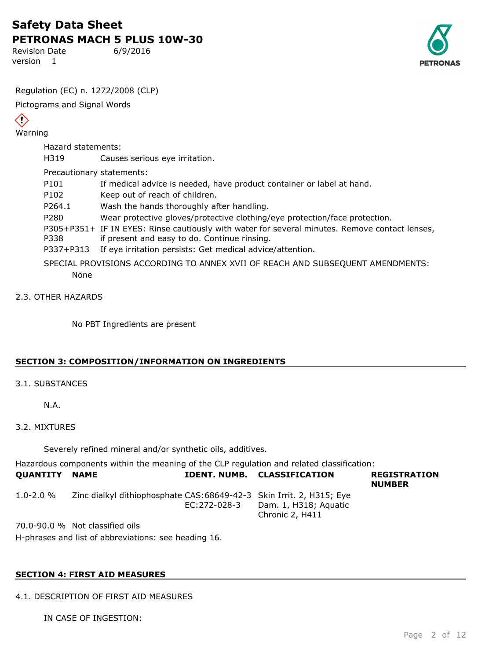Revision Date 6/9/2016 version 1



Regulation (EC) n. 1272/2008 (CLP)

Pictograms and Signal Words

# $\left\langle \cdot \right\rangle$

Warning

Hazard statements:

H319 Causes serious eye irritation.

## Precautionary statements:

- P101 If medical advice is needed, have product container or label at hand.
- P102 Keep out of reach of children.
- P264.1 Wash the hands thoroughly after handling.
- P280 Wear protective gloves/protective clothing/eye protection/face protection.
- P305+P351+ IF IN EYES: Rinse cautiously with water for several minutes. Remove contact lenses,
- P338 if present and easy to do. Continue rinsing.
- P337+P313 If eye irritation persists: Get medical advice/attention.
- SPECIAL PROVISIONS ACCORDING TO ANNEX XVII OF REACH AND SUBSEQUENT AMENDMENTS: None

## 2.3. OTHER HAZARDS

No PBT Ingredients are present

## **SECTION 3: COMPOSITION/INFORMATION ON INGREDIENTS**

## 3.1. SUBSTANCES

N.A.

## 3.2. MIXTURES

Severely refined mineral and/or synthetic oils, additives.

Hazardous components within the meaning of the CLP regulation and related classification:

| <b>QUANTITY NAME</b> |                                                                       |              | <b>IDENT. NUMB. CLASSIFICATION</b>       | <b>REGISTRATION</b><br><b>NUMBER</b> |
|----------------------|-----------------------------------------------------------------------|--------------|------------------------------------------|--------------------------------------|
| $1.0 - 2.0 \%$       | Zinc dialkyl dithiophosphate CAS: 68649-42-3 Skin Irrit. 2, H315; Eye | EC:272-028-3 | Dam. 1, H318; Aquatic<br>Chronic 2, H411 |                                      |
|                      | 70.0-90.0 % Not classified oils                                       |              |                                          |                                      |

H-phrases and list of abbreviations: see heading 16.

## **SECTION 4: FIRST AID MEASURES**

4.1. DESCRIPTION OF FIRST AID MEASURES

IN CASE OF INGESTION: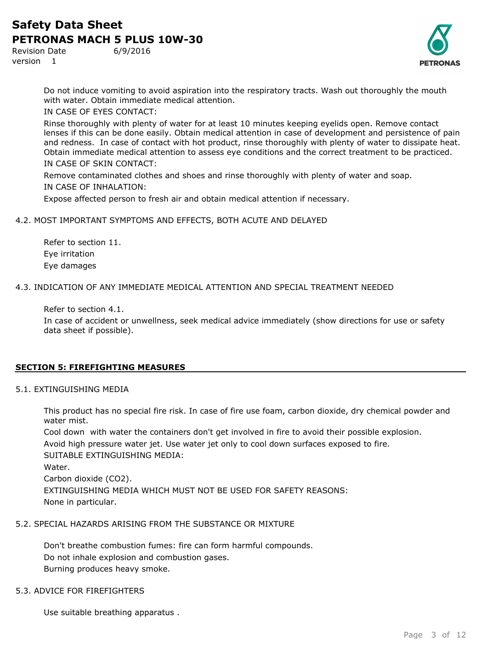Revision Date 6/9/2016 version 1



Do not induce vomiting to avoid aspiration into the respiratory tracts. Wash out thoroughly the mouth with water. Obtain immediate medical attention.

IN CASE OF EYES CONTACT:

Rinse thoroughly with plenty of water for at least 10 minutes keeping eyelids open. Remove contact lenses if this can be done easily. Obtain medical attention in case of development and persistence of pain and redness. In case of contact with hot product, rinse thoroughly with plenty of water to dissipate heat. Obtain immediate medical attention to assess eye conditions and the correct treatment to be practiced. IN CASE OF SKIN CONTACT:

Remove contaminated clothes and shoes and rinse thoroughly with plenty of water and soap. IN CASE OF INHALATION:

Expose affected person to fresh air and obtain medical attention if necessary.

#### 4.2. MOST IMPORTANT SYMPTOMS AND EFFECTS, BOTH ACUTE AND DELAYED

Refer to section 11. Eye irritation Eye damages

#### 4.3. INDICATION OF ANY IMMEDIATE MEDICAL ATTENTION AND SPECIAL TREATMENT NEEDED

Refer to section 4.1.

In case of accident or unwellness, seek medical advice immediately (show directions for use or safety data sheet if possible).

## **SECTION 5: FIREFIGHTING MEASURES**

#### 5.1. EXTINGUISHING MEDIA

This product has no special fire risk. In case of fire use foam, carbon dioxide, dry chemical powder and water mist.

Cool down with water the containers don't get involved in fire to avoid their possible explosion. Avoid high pressure water jet. Use water jet only to cool down surfaces exposed to fire. SUITABLE EXTINGUISHING MEDIA: Water.

Carbon dioxide (CO2). EXTINGUISHING MEDIA WHICH MUST NOT BE USED FOR SAFETY REASONS: None in particular.

#### 5.2. SPECIAL HAZARDS ARISING FROM THE SUBSTANCE OR MIXTURE

Don't breathe combustion fumes: fire can form harmful compounds. Do not inhale explosion and combustion gases. Burning produces heavy smoke.

#### 5.3. ADVICE FOR FIREFIGHTERS

Use suitable breathing apparatus .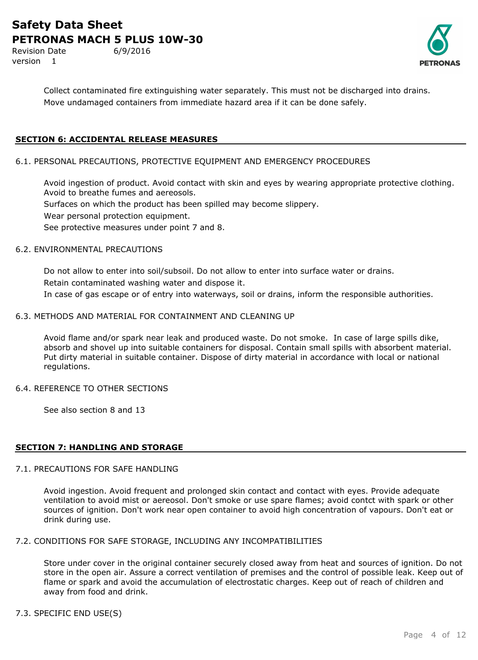Revision Date 6/9/2016 version 1



Collect contaminated fire extinguishing water separately. This must not be discharged into drains. Move undamaged containers from immediate hazard area if it can be done safely.

## **SECTION 6: ACCIDENTAL RELEASE MEASURES**

#### 6.1. PERSONAL PRECAUTIONS, PROTECTIVE EQUIPMENT AND EMERGENCY PROCEDURES

Avoid ingestion of product. Avoid contact with skin and eyes by wearing appropriate protective clothing. Avoid to breathe fumes and aereosols. Surfaces on which the product has been spilled may become slippery. Wear personal protection equipment. See protective measures under point 7 and 8.

#### 6.2. ENVIRONMENTAL PRECAUTIONS

Do not allow to enter into soil/subsoil. Do not allow to enter into surface water or drains. Retain contaminated washing water and dispose it. In case of gas escape or of entry into waterways, soil or drains, inform the responsible authorities.

#### 6.3. METHODS AND MATERIAL FOR CONTAINMENT AND CLEANING UP

Avoid flame and/or spark near leak and produced waste. Do not smoke. In case of large spills dike, absorb and shovel up into suitable containers for disposal. Contain small spills with absorbent material. Put dirty material in suitable container. Dispose of dirty material in accordance with local or national regulations.

#### 6.4. REFERENCE TO OTHER SECTIONS

See also section 8 and 13

## **SECTION 7: HANDLING AND STORAGE**

#### 7.1. PRECAUTIONS FOR SAFE HANDLING

Avoid ingestion. Avoid frequent and prolonged skin contact and contact with eyes. Provide adequate ventilation to avoid mist or aereosol. Don't smoke or use spare flames; avoid contct with spark or other sources of ignition. Don't work near open container to avoid high concentration of vapours. Don't eat or drink during use.

## 7.2. CONDITIONS FOR SAFE STORAGE, INCLUDING ANY INCOMPATIBILITIES

Store under cover in the original container securely closed away from heat and sources of ignition. Do not store in the open air. Assure a correct ventilation of premises and the control of possible leak. Keep out of flame or spark and avoid the accumulation of electrostatic charges. Keep out of reach of children and away from food and drink.

## 7.3. SPECIFIC END USE(S)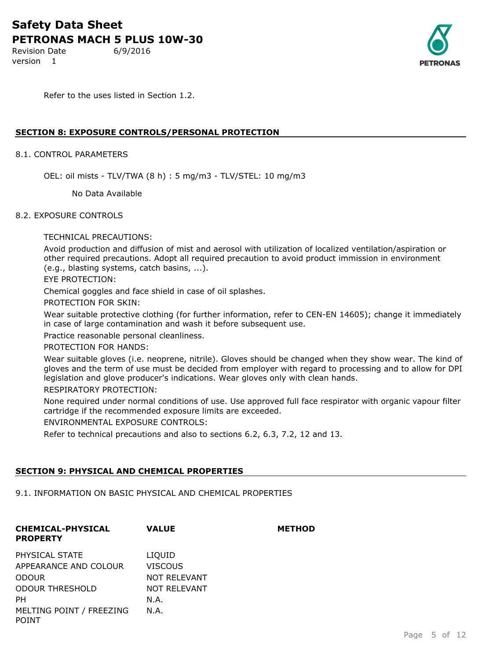Revision Date 6/9/2016 version 1



Refer to the uses listed in Section 1.2.

#### **SECTION 8: EXPOSURE CONTROLS/PERSONAL PROTECTION**

#### 8.1. CONTROL PARAMETERS

OEL: oil mists - TLV/TWA (8 h) : 5 mg/m3 - TLV/STEL: 10 mg/m3

No Data Available

#### 8.2. EXPOSURE CONTROLS

TECHNICAL PRECAUTIONS:

Avoid production and diffusion of mist and aerosol with utilization of localized ventilation/aspiration or other required precautions. Adopt all required precaution to avoid product immission in environment (e.g., blasting systems, catch basins, ...).

EYE PROTECTION:

Chemical goggles and face shield in case of oil splashes.

PROTECTION FOR SKIN:

Wear suitable protective clothing (for further information, refer to CEN-EN 14605); change it immediately in case of large contamination and wash it before subsequent use.

Practice reasonable personal cleanliness.

PROTECTION FOR HANDS:

Wear suitable gloves (i.e. neoprene, nitrile). Gloves should be changed when they show wear. The kind of gloves and the term of use must be decided from employer with regard to processing and to allow for DPI legislation and glove producer's indications. Wear gloves only with clean hands.

RESPIRATORY PROTECTION:

None required under normal conditions of use. Use approved full face respirator with organic vapour filter cartridge if the recommended exposure limits are exceeded.

**VALUE METHOD**

ENVIRONMENTAL EXPOSURE CONTROLS:

Refer to technical precautions and also to sections 6.2, 6.3, 7.2, 12 and 13.

#### **SECTION 9: PHYSICAL AND CHEMICAL PROPERTIES**

9.1. INFORMATION ON BASIC PHYSICAL AND CHEMICAL PROPERTIES

| <b>CHEMICAL-PHYSICAL</b><br><b>PROPERTY</b> | <b>VALUE</b>        | МE |
|---------------------------------------------|---------------------|----|
| PHYSICAL STATE                              | LIQUID              |    |
| APPEARANCE AND COLOUR                       | <b>VISCOUS</b>      |    |
| <b>ODOUR</b>                                | <b>NOT RELEVANT</b> |    |
| <b>ODOUR THRESHOLD</b>                      | <b>NOT RELEVANT</b> |    |
| PН                                          | N.A.                |    |
| MELTING POINT / FREEZING<br>POINT           | N.A.                |    |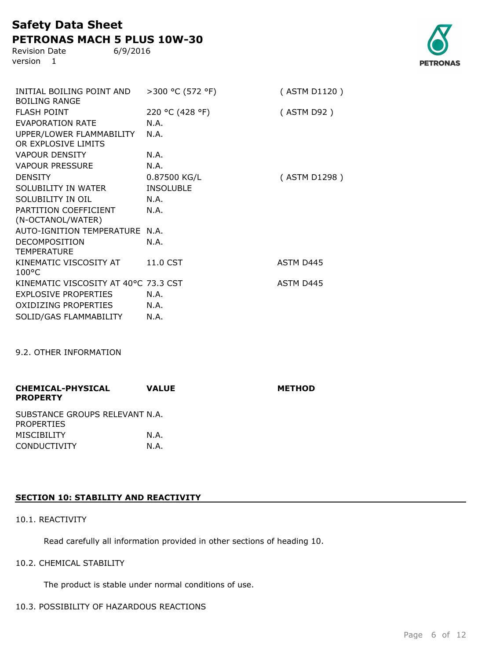Revision Date 6/9/2016 version 1

| INITIAL BOILING POINT AND<br><b>BOILING RANGE</b> | >300 °C (572 °F) | (ASTM D1120)     |
|---------------------------------------------------|------------------|------------------|
| <b>FLASH POINT</b>                                | 220 °C (428 °F)  | (ASTM D92)       |
| <b>EVAPORATION RATE</b>                           | N.A.             |                  |
| UPPER/LOWER FLAMMABILITY<br>OR EXPLOSIVE LIMITS   | N.A.             |                  |
| <b>VAPOUR DENSITY</b>                             | N.A.             |                  |
| <b>VAPOUR PRESSURE</b>                            | N.A.             |                  |
| <b>DENSITY</b>                                    | 0.87500 KG/L     | (ASTM D1298)     |
| SOLUBILITY IN WATER                               | <b>INSOLUBLE</b> |                  |
| SOLUBILITY IN OIL                                 | N.A.             |                  |
| PARTITION COEFFICIENT<br>(N-OCTANOL/WATER)        | N.A.             |                  |
| <b>AUTO-IGNITION TEMPERATURE</b>                  | N.A.             |                  |
| <b>DECOMPOSITION</b><br><b>TEMPERATURE</b>        | N.A.             |                  |
| KINEMATIC VISCOSITY AT<br>$100^{\circ}$ C         | 11.0 CST         | ASTM D445        |
| KINEMATIC VISCOSITY AT 40°C 73.3 CST              |                  | <b>ASTM D445</b> |
| <b>EXPLOSIVE PROPERTIES</b>                       | N.A.             |                  |
| <b>OXIDIZING PROPERTIES</b>                       | N.A.             |                  |
| SOLID/GAS FLAMMABILITY                            | N.A.             |                  |

9.2. OTHER INFORMATION

| <b>CHEMICAL-PHYSICAL</b><br><b>PROPERTY</b>         | <b>VALUE</b> | <b>METHOD</b> |
|-----------------------------------------------------|--------------|---------------|
| SUBSTANCE GROUPS RELEVANT N.A.<br><b>PROPERTIES</b> |              |               |
| <b>MISCIBILITY</b>                                  | N.A.         |               |
| <b>CONDUCTIVITY</b>                                 | N.A.         |               |

## **SECTION 10: STABILITY AND REACTIVITY**

## 10.1. REACTIVITY

Read carefully all information provided in other sections of heading 10.

## 10.2. CHEMICAL STABILITY

The product is stable under normal conditions of use.

## 10.3. POSSIBILITY OF HAZARDOUS REACTIONS

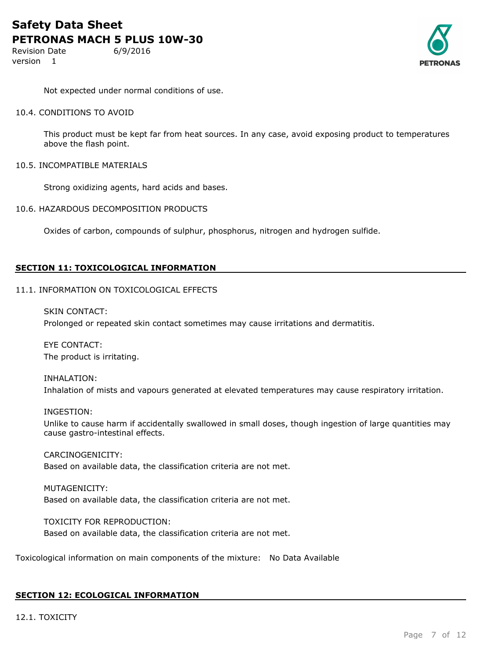Revision Date 6/9/2016 version 1



Not expected under normal conditions of use.

#### 10.4. CONDITIONS TO AVOID

This product must be kept far from heat sources. In any case, avoid exposing product to temperatures above the flash point.

10.5. INCOMPATIBLE MATERIALS

Strong oxidizing agents, hard acids and bases.

10.6. HAZARDOUS DECOMPOSITION PRODUCTS

Oxides of carbon, compounds of sulphur, phosphorus, nitrogen and hydrogen sulfide.

#### **SECTION 11: TOXICOLOGICAL INFORMATION**

#### 11.1. INFORMATION ON TOXICOLOGICAL EFFECTS

SKIN CONTACT:

Prolonged or repeated skin contact sometimes may cause irritations and dermatitis.

EYE CONTACT: The product is irritating.

## INHALATION: Inhalation of mists and vapours generated at elevated temperatures may cause respiratory irritation.

#### INGESTION:

Unlike to cause harm if accidentally swallowed in small doses, though ingestion of large quantities may cause gastro-intestinal effects.

CARCINOGENICITY: Based on available data, the classification criteria are not met.

MUTAGENICITY: Based on available data, the classification criteria are not met.

TOXICITY FOR REPRODUCTION: Based on available data, the classification criteria are not met.

Toxicological information on main components of the mixture: No Data Available

## **SECTION 12: ECOLOGICAL INFORMATION**

12.1. TOXICITY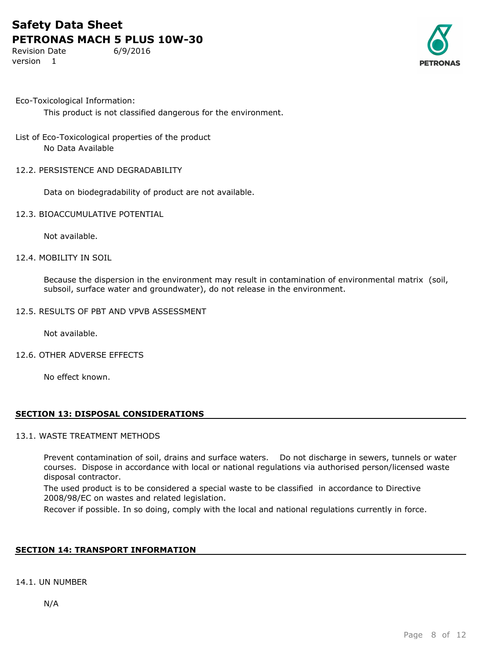Revision Date 6/9/2016 version 1



Eco-Toxicological Information:

This product is not classified dangerous for the environment.

- List of Eco-Toxicological properties of the product No Data Available
- 12.2. PERSISTENCE AND DEGRADABILITY

Data on biodegradability of product are not available.

12.3. BIOACCUMULATIVE POTENTIAL

Not available.

#### 12.4. MOBILITY IN SOIL

Because the dispersion in the environment may result in contamination of environmental matrix (soil, subsoil, surface water and groundwater), do not release in the environment.

12.5. RESULTS OF PBT AND VPVB ASSESSMENT

Not available.

12.6. OTHER ADVERSE EFFECTS

No effect known.

#### **SECTION 13: DISPOSAL CONSIDERATIONS**

#### 13.1. WASTE TREATMENT METHODS

Prevent contamination of soil, drains and surface waters. Do not discharge in sewers, tunnels or water courses. Dispose in accordance with local or national regulations via authorised person/licensed waste disposal contractor.

The used product is to be considered a special waste to be classified in accordance to Directive 2008/98/EC on wastes and related legislation.

Recover if possible. In so doing, comply with the local and national regulations currently in force.

#### **SECTION 14: TRANSPORT INFORMATION**

#### 14.1. UN NUMBER

N/A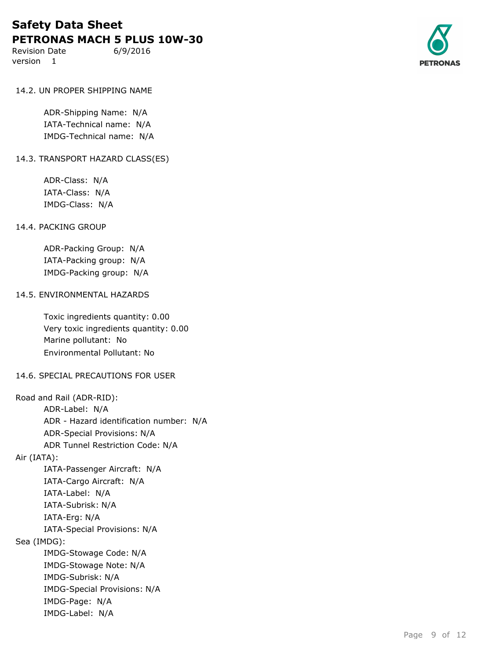Revision Date 6/9/2016 version 1



#### 14.2. UN PROPER SHIPPING NAME

ADR-Shipping Name: N/A IATA-Technical name: N/A IMDG-Technical name: N/A

#### 14.3. TRANSPORT HAZARD CLASS(ES)

ADR-Class: N/A IATA-Class: N/A IMDG-Class: N/A

#### 14.4. PACKING GROUP

ADR-Packing Group: N/A IATA-Packing group: N/A IMDG-Packing group: N/A

#### 14.5. ENVIRONMENTAL HAZARDS

Toxic ingredients quantity: 0.00 Very toxic ingredients quantity: 0.00 Marine pollutant: No Environmental Pollutant: No

## 14.6. SPECIAL PRECAUTIONS FOR USER

Road and Rail (ADR-RID): ADR-Label: N/A ADR - Hazard identification number: N/A ADR-Special Provisions: N/A ADR Tunnel Restriction Code: N/A Air (IATA): IATA-Passenger Aircraft: N/A IATA-Cargo Aircraft: N/A IATA-Label: N/A IATA-Subrisk: N/A IATA-Erg: N/A IATA-Special Provisions: N/A Sea (IMDG): IMDG-Stowage Code: N/A IMDG-Stowage Note: N/A IMDG-Subrisk: N/A IMDG-Special Provisions: N/A IMDG-Page: N/A IMDG-Label: N/A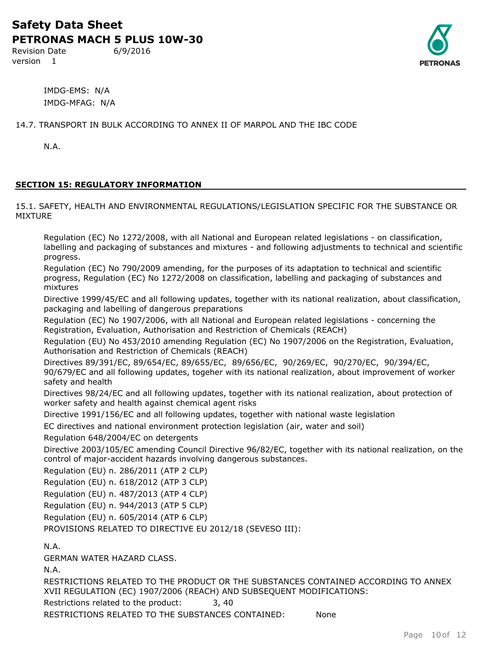Revision Date 6/9/2016 version 1



IMDG-EMS: N/A IMDG-MFAG: N/A

14.7. TRANSPORT IN BULK ACCORDING TO ANNEX II OF MARPOL AND THE IBC CODE

N.A.

## **SECTION 15: REGULATORY INFORMATION**

15.1. SAFETY, HEALTH AND ENVIRONMENTAL REGULATIONS/LEGISLATION SPECIFIC FOR THE SUBSTANCE OR MIXTURE

Regulation (EC) No 1272/2008, with all National and European related legislations - on classification, labelling and packaging of substances and mixtures - and following adjustments to technical and scientific progress.

Regulation (EC) No 790/2009 amending, for the purposes of its adaptation to technical and scientific progress, Regulation (EC) No 1272/2008 on classification, labelling and packaging of substances and mixtures

Directive 1999/45/EC and all following updates, together with its national realization, about classification, packaging and labelling of dangerous preparations

Regulation (EC) No 1907/2006, with all National and European related legislations - concerning the Registration, Evaluation, Authorisation and Restriction of Chemicals (REACH)

Regulation (EU) No 453/2010 amending Regulation (EC) No 1907/2006 on the Registration, Evaluation, Authorisation and Restriction of Chemicals (REACH)

Directives 89/391/EC, 89/654/EC, 89/655/EC, 89/656/EC, 90/269/EC, 90/270/EC, 90/394/EC, 90/679/EC and all following updates, togeher with its national realization, about improvement of worker safety and health

Directives 98/24/EC and all following updates, together with its national realization, about protection of worker safety and health against chemical agent risks

Directive 1991/156/EC and all following updates, together with national waste legislation

EC directives and national environment protection legislation (air, water and soil)

Regulation 648/2004/EC on detergents

Directive 2003/105/EC amending Council Directive 96/82/EC, together with its national realization, on the control of major-accident hazards involving dangerous substances.

Regulation (EU) n. 286/2011 (ATP 2 CLP)

Regulation (EU) n. 618/2012 (ATP 3 CLP)

Regulation (EU) n. 487/2013 (ATP 4 CLP)

Regulation (EU) n. 944/2013 (ATP 5 CLP)

Regulation (EU) n. 605/2014 (ATP 6 CLP)

PROVISIONS RELATED TO DIRECTIVE EU 2012/18 (SEVESO III):

N.A.

GERMAN WATER HAZARD CLASS.

N.A.

RESTRICTIONS RELATED TO THE PRODUCT OR THE SUBSTANCES CONTAINED ACCORDING TO ANNEX XVII REGULATION (EC) 1907/2006 (REACH) AND SUBSEQUENT MODIFICATIONS:

Restrictions related to the product: 3, 40

RESTRICTIONS RELATED TO THE SUBSTANCES CONTAINED: None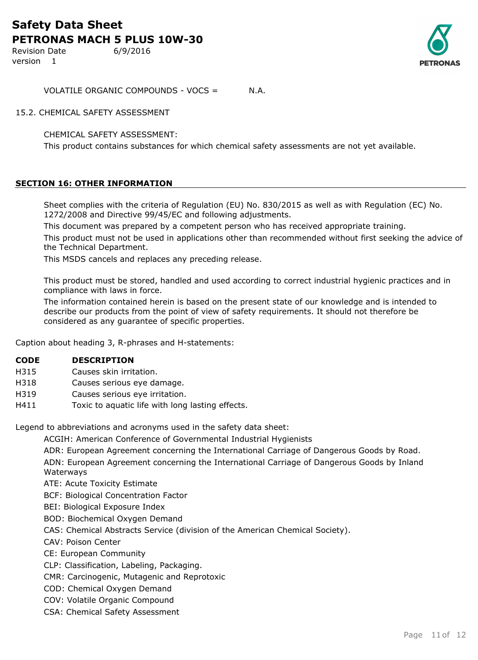Revision Date 6/9/2016 version 1



VOLATILE ORGANIC COMPOUNDS - VOCS = N.A.

15.2. CHEMICAL SAFETY ASSESSMENT

CHEMICAL SAFETY ASSESSMENT:

This product contains substances for which chemical safety assessments are not yet available.

## **SECTION 16: OTHER INFORMATION**

Sheet complies with the criteria of Regulation (EU) No. 830/2015 as well as with Regulation (EC) No. 1272/2008 and Directive 99/45/EC and following adjustments.

This document was prepared by a competent person who has received appropriate training.

This product must not be used in applications other than recommended without first seeking the advice of the Technical Department.

This MSDS cancels and replaces any preceding release.

This product must be stored, handled and used according to correct industrial hygienic practices and in compliance with laws in force.

The information contained herein is based on the present state of our knowledge and is intended to describe our products from the point of view of safety requirements. It should not therefore be considered as any guarantee of specific properties.

Caption about heading 3, R-phrases and H-statements:

- H315 Causes skin irritation.
- H318 Causes serious eye damage.
- H319 Causes serious eye irritation.
- H411 Toxic to aquatic life with long lasting effects.

Legend to abbreviations and acronyms used in the safety data sheet:

ACGIH: American Conference of Governmental Industrial Hygienists

ADR: European Agreement concerning the International Carriage of Dangerous Goods by Road.

ADN: European Agreement concerning the International Carriage of Dangerous Goods by Inland Waterways

ATE: Acute Toxicity Estimate

BCF: Biological Concentration Factor

BEI: Biological Exposure Index

BOD: Biochemical Oxygen Demand

CAS: Chemical Abstracts Service (division of the American Chemical Society).

CAV: Poison Center

CE: European Community

CLP: Classification, Labeling, Packaging.

CMR: Carcinogenic, Mutagenic and Reprotoxic

COD: Chemical Oxygen Demand

COV: Volatile Organic Compound

CSA: Chemical Safety Assessment